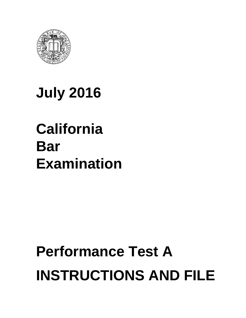

# **July 2016**

# **California Bar Examination**

# **Performance Test A INSTRUCTIONS AND FILE**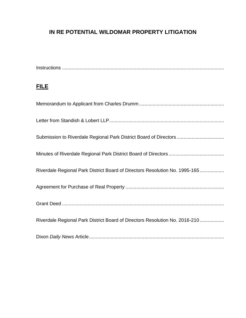# **IN RE POTENTIAL WILDOMAR PROPERTY LITIGATION**

| <b>FILE</b>                                                                 |
|-----------------------------------------------------------------------------|
|                                                                             |
|                                                                             |
| Submission to Riverdale Regional Park District Board of Directors           |
|                                                                             |
| Riverdale Regional Park District Board of Directors Resolution No. 1995-165 |
|                                                                             |
|                                                                             |
| Riverdale Regional Park District Board of Directors Resolution No. 2016-210 |
|                                                                             |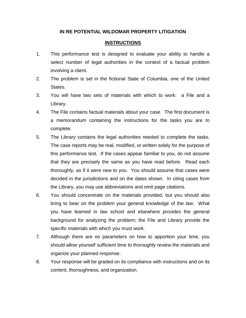### **IN RE POTENTIAL WILDOMAR PROPERTY LITIGATION**

### **INSTRUCTIONS**

- 1. This performance test is designed to evaluate your ability to handle a select number of legal authorities in the context of a factual problem involving a client.
- 2. The problem is set in the fictional State of Columbia, one of the United States.
- 3. You will have two sets of materials with which to work: a File and a Library.
- 4. The File contains factual materials about your case. The first document is a memorandum containing the instructions for the tasks you are to complete.
- 5. The Library contains the legal authorities needed to complete the tasks. The case reports may be real, modified, or written solely for the purpose of this performance test. If the cases appear familiar to you, do not assume that they are precisely the same as you have read before. Read each thoroughly, as if it were new to you. You should assume that cases were decided in the jurisdictions and on the dates shown. In citing cases from the Library, you may use abbreviations and omit page citations.
- 6. You should concentrate on the materials provided, but you should also bring to bear on the problem your general knowledge of the law. What you have learned in law school and elsewhere provides the general background for analyzing the problem; the File and Library provide the specific materials with which you must work.
- 7. Although there are no parameters on how to apportion your time, you should allow yourself sufficient time to thoroughly review the materials and organize your planned response.
- 8. Your response will be graded on its compliance with instructions and on its content, thoroughness, and organization.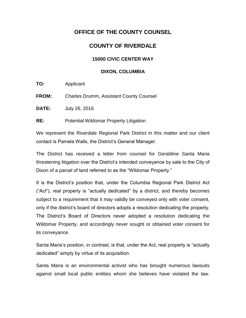# **OFFICE OF THE COUNTY COUNSEL**

# **COUNTY OF RIVERDALE**

### **15000 CIVIC CENTER WAY**

### **DIXON, COLUMBIA**

**TO:** Applicant

**FROM:** Charles Drumm, Assistant County Counsel

**DATE:** July 26, 2016

**RE:** Potential Wildomar Property Litigation

We represent the Riverdale Regional Park District in this matter and our client contact is Pamela Walls, the District's General Manager.

The District has received a letter from counsel for Geraldine Santa Maria threatening litigation over the District's intended conveyance by sale to the City of Dixon of a parcel of land referred to as the "Wildomar Property."

It is the District's position that, under the Columbia Regional Park District Act ("Act"), real property is "actually dedicated" by a district, and thereby becomes subject to a requirement that it may validly be conveyed only with voter consent, only if the district's board of directors adopts a resolution dedicating the property. The District's Board of Directors never adopted a resolution dedicating the Wildomar Property, and accordingly never sought or obtained voter consent for its conveyance.

Santa Maria's position, in contrast, is that, under the Act, real property is "actually dedicated" simply by virtue of its acquisition.

Santa Maria is an environmental activist who has brought numerous lawsuits against small local public entities whom she believes have violated the law.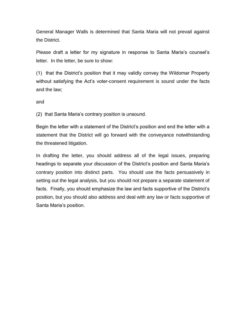General Manager Walls is determined that Santa Maria will not prevail against the District.

Please draft a letter for my signature in response to Santa Maria's counsel's letter. In the letter, be sure to show:

(1) that the District's position that it may validly convey the Wildomar Property without satisfying the Act's voter-consent requirement is sound under the facts and the law;

and

(2) that Santa Maria's contrary position is unsound.

Begin the letter with a statement of the District's position and end the letter with a statement that the District will go forward with the conveyance notwithstanding the threatened litigation.

In drafting the letter, you should address all of the legal issues, preparing headings to separate your discussion of the District's position and Santa Maria's contrary position into distinct parts. You should use the facts persuasively in setting out the legal analysis, but you should not prepare a separate statement of facts. Finally, you should emphasize the law and facts supportive of the District's position, but you should also address and deal with any law or facts supportive of Santa Maria's position.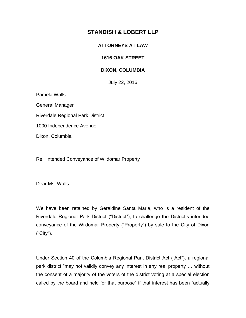## **STANDISH & LOBERT LLP**

### **ATTORNEYS AT LAW**

### **1616 OAK STREET**

### **DIXON, COLUMBIA**

July 22, 2016

Pamela Walls General Manager Riverdale Regional Park District

1000 Independence Avenue

Dixon, Columbia

Re: Intended Conveyance of Wildomar Property

Dear Ms. Walls:

We have been retained by Geraldine Santa Maria, who is a resident of the Riverdale Regional Park District ("District"), to challenge the District's intended conveyance of the Wildomar Property ("Property") by sale to the City of Dixon ("City").

Under Section 40 of the Columbia Regional Park District Act ("Act"), a regional park district "may not validly convey any interest in any real property … without the consent of a majority of the voters of the district voting at a special election called by the board and held for that purpose" if that interest has been "actually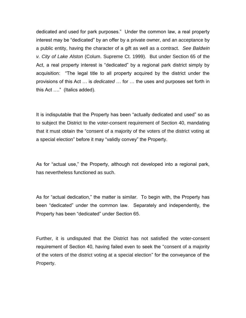dedicated and used for park purposes." Under the common law, a real property interest may be "dedicated" by an offer by a private owner, and an acceptance by a public entity, having the character of a gift as well as a contract. *See Baldwin v. City of Lake Alston* (Colum. Supreme Ct. 1999). But under Section 65 of the Act, a real property interest is "dedicated" by a regional park district simply by acquisition: "The legal title to all property acquired by the district under the provisions of this Act … is *dedicated* … for … the uses and purposes set forth in this Act …." (Italics added).

It is indisputable that the Property has been "actually dedicated and used" so as to subject the District to the voter-consent requirement of Section 40, mandating that it must obtain the "consent of a majority of the voters of the district voting at a special election" before it may "validly convey" the Property.

As for "actual use," the Property, although not developed into a regional park, has nevertheless functioned as such.

As for "actual dedication," the matter is similar. To begin with, the Property has been "dedicated" under the common law. Separately and independently, the Property has been "dedicated" under Section 65.

Further, it is undisputed that the District has not satisfied the voter-consent requirement of Section 40, having failed even to seek the "consent of a majority of the voters of the district voting at a special election" for the conveyance of the Property.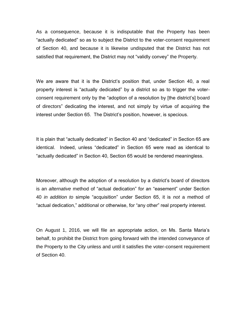As a consequence, because it is indisputable that the Property has been "actually dedicated" so as to subject the District to the voter-consent requirement of Section 40, and because it is likewise undisputed that the District has not satisfied that requirement, the District may not "validly convey" the Property.

We are aware that it is the District's position that, under Section 40, a real property interest is "actually dedicated" by a district so as to trigger the voterconsent requirement only by the "adoption of a resolution by [the district's] board of directors" dedicating the interest, and not simply by virtue of acquiring the interest under Section 65. The District's position, however, is specious.

It is plain that "actually dedicated" in Section 40 and "dedicated" in Section 65 are identical. Indeed, unless "dedicated" in Section 65 were read as identical to "actually dedicated" in Section 40, Section 65 would be rendered meaningless.

Moreover, although the adoption of a resolution by a district's board of directors is an *alternative* method of "actual dedication" for an "easement" under Section 40 *in addition to* simple "acquisition" under Section 65, it is *not* a method of "actual dedication," additional or otherwise, for "any other" real property interest.

On August 1, 2016, we will file an appropriate action, on Ms. Santa Maria's behalf, to prohibit the District from going forward with the intended conveyance of the Property to the City unless and until it satisfies the voter-consent requirement of Section 40.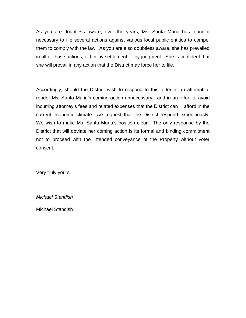As you are doubtless aware, over the years, Ms. Santa Maria has found it necessary to file several actions against various local public entities to compel them to comply with the law. As you are also doubtless aware, she has prevailed in all of those actions, either by settlement or by judgment. She is confident that she will prevail in any action that the District may force her to file.

Accordingly, should the District wish to respond to this letter in an attempt to render Ms. Santa Maria's coming action unnecessary—and in an effort to avoid incurring attorney's fees and related expenses that the District can ill afford in the current economic climate—we request that the District respond expeditiously. We wish to make Ms. Santa Maria's position clear: The only response by the District that will obviate her coming action is its formal and binding commitment not to proceed with the intended conveyance of the Property without voter consent.

Very truly yours,

*Michael Standish* 

Michael Standish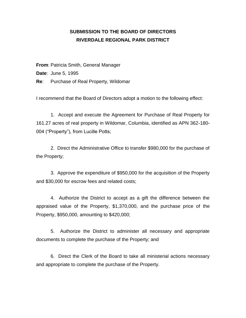## **SUBMISSION TO THE BOARD OF DIRECTORS RIVERDALE REGIONAL PARK DISTRICT**

**From**: Patricia Smith, General Manager **Date**: June 5, 1995 **Re**: Purchase of Real Property, Wildomar

I recommend that the Board of Directors adopt a motion to the following effect:

1. Accept and execute the Agreement for Purchase of Real Property for 161.27 acres of real property in Wildomar, Columbia, identified as APN 362-180- 004 ("Property"), from Lucille Potts;

2. Direct the Administrative Office to transfer \$980,000 for the purchase of the Property;

3. Approve the expenditure of \$950,000 for the acquisition of the Property and \$30,000 for escrow fees and related costs;

4. Authorize the District to accept as a gift the difference between the appraised value of the Property, \$1,370,000, and the purchase price of the Property, \$950,000, amounting to \$420,000;

5. Authorize the District to administer all necessary and appropriate documents to complete the purchase of the Property; and

6. Direct the Clerk of the Board to take all ministerial actions necessary and appropriate to complete the purchase of the Property.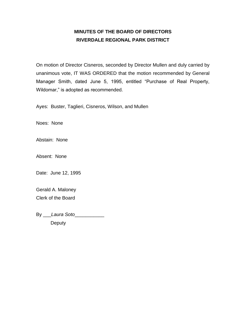# **MINUTES OF THE BOARD OF DIRECTORS RIVERDALE REGIONAL PARK DISTRICT**

On motion of Director Cisneros, seconded by Director Mullen and duly carried by unanimous vote, IT WAS ORDERED that the motion recommended by General Manager Smith, dated June 5, 1995, entitled "Purchase of Real Property, Wildomar," is adopted as recommended.

Ayes: Buster, Taglieri, Cisneros, Wilson, and Mullen

Noes: None

Abstain: None

Absent: None

Date: June 12, 1995

Gerald A. Maloney Clerk of the Board

By \_\_\_*Laura Soto*\_\_\_\_\_\_\_\_\_\_\_

**Deputy**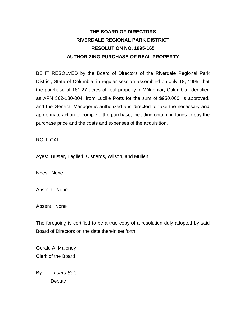# **THE BOARD OF DIRECTORS RIVERDALE REGIONAL PARK DISTRICT RESOLUTION NO. 1995-165 AUTHORIZING PURCHASE OF REAL PROPERTY**

BE IT RESOLVED by the Board of Directors of the Riverdale Regional Park District, State of Columbia, in regular session assembled on July 18, 1995, that the purchase of 161.27 acres of real property in Wildomar, Columbia, identified as APN 362-180-004, from Lucille Potts for the sum of \$950,000, is approved, and the General Manager is authorized and directed to take the necessary and appropriate action to complete the purchase, including obtaining funds to pay the purchase price and the costs and expenses of the acquisition.

### ROLL CALL:

Ayes: Buster, Taglieri, Cisneros, Wilson, and Mullen

Noes: None

Abstain: None

Absent: None

The foregoing is certified to be a true copy of a resolution duly adopted by said Board of Directors on the date therein set forth.

Gerald A. Maloney Clerk of the Board

By \_\_\_\_*Laura Soto*\_\_\_\_\_\_\_\_\_\_\_ **Deputy**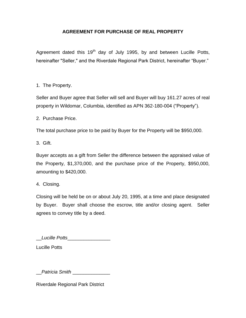### **AGREEMENT FOR PURCHASE OF REAL PROPERTY**

Agreement dated this  $19<sup>th</sup>$  day of July 1995, by and between Lucille Potts, hereinafter "Seller," and the Riverdale Regional Park District, hereinafter "Buyer."

1. The Property.

Seller and Buyer agree that Seller will sell and Buyer will buy 161.27 acres of real property in Wildomar, Columbia, identified as APN 362-180-004 ("Property").

2. Purchase Price.

The total purchase price to be paid by Buyer for the Property will be \$950,000.

3. Gift.

Buyer accepts as a gift from Seller the difference between the appraised value of the Property, \$1,370,000, and the purchase price of the Property, \$950,000, amounting to \$420,000.

4. Closing.

Closing will be held be on or about July 20, 1995, at a time and place designated by Buyer. Buyer shall choose the escrow, title and/or closing agent. Seller agrees to convey title by a deed.

\_\_*Lucille Potts*\_\_\_\_\_\_\_\_\_\_\_\_\_\_\_\_

Lucille Potts

\_\_*Patricia Smith* \_\_\_\_\_\_\_\_\_\_\_\_\_\_

Riverdale Regional Park District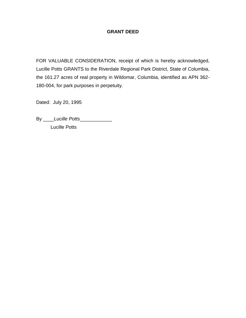### **GRANT DEED**

FOR VALUABLE CONSIDERATION, receipt of which is hereby acknowledged, Lucille Potts GRANTS to the Riverdale Regional Park District, State of Columbia, the 161.27 acres of real property in Wildomar, Columbia, identified as APN 362- 180-004, for park purposes in perpetuity.

Dated: July 20, 1995

By \_\_\_\_*Lucille Potts*\_\_\_\_\_\_\_\_\_\_\_\_

Lucille Potts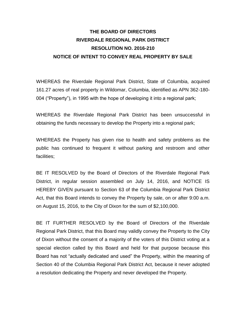# **THE BOARD OF DIRECTORS RIVERDALE REGIONAL PARK DISTRICT RESOLUTION NO. 2016-210 NOTICE OF INTENT TO CONVEY REAL PROPERTY BY SALE**

WHEREAS the Riverdale Regional Park District, State of Columbia, acquired 161.27 acres of real property in Wildomar, Columbia, identified as APN 362-180- 004 ("Property"), in 1995 with the hope of developing it into a regional park;

WHEREAS the Riverdale Regional Park District has been unsuccessful in obtaining the funds necessary to develop the Property into a regional park;

WHEREAS the Property has given rise to health and safety problems as the public has continued to frequent it without parking and restroom and other facilities;

BE IT RESOLVED by the Board of Directors of the Riverdale Regional Park District, in regular session assembled on July 14, 2016, and NOTICE IS HEREBY GIVEN pursuant to Section 63 of the Columbia Regional Park District Act, that this Board intends to convey the Property by sale, on or after 9:00 a.m. on August 15, 2016, to the City of Dixon for the sum of \$2,100,000.

BE IT FURTHER RESOLVED by the Board of Directors of the Riverdale Regional Park District, that this Board may validly convey the Property to the City of Dixon without the consent of a majority of the voters of this District voting at a special election called by this Board and held for that purpose because this Board has not "actually dedicated and used" the Property, within the meaning of Section 40 of the Columbia Regional Park District Act, because it never adopted a resolution dedicating the Property and never developed the Property.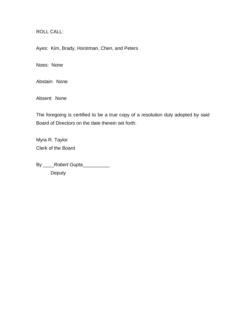ROLL CALL:

Ayes: Kim, Brady, Horstman, Chen, and Peters

Noes: None

Abstain: None

Absent: None

The foregoing is certified to be a true copy of a resolution duly adopted by said Board of Directors on the date therein set forth.

Myra R. Taylor Clerk of the Board

By \_\_\_\_*Robert Gupta*\_\_\_\_\_\_\_\_\_\_

Deputy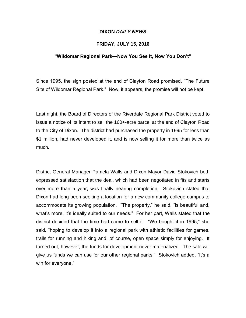### **DIXON** *DAILY NEWS*

### **FRIDAY, JULY 15, 2016**

### **"Wildomar Regional Park—Now You See It, Now You Don't"**

Since 1995, the sign posted at the end of Clayton Road promised, "The Future Site of Wildomar Regional Park." Now, it appears, the promise will not be kept.

Last night, the Board of Directors of the Riverdale Regional Park District voted to issue a notice of its intent to sell the 160+-acre parcel at the end of Clayton Road to the City of Dixon. The district had purchased the property in 1995 for less than \$1 million, had never developed it, and is now selling it for more than twice as much.

District General Manager Pamela Walls and Dixon Mayor David Stokovich both expressed satisfaction that the deal, which had been negotiated in fits and starts over more than a year, was finally nearing completion. Stokovich stated that Dixon had long been seeking a location for a new community college campus to accommodate its growing population. "The property," he said, "is beautiful and, what's more, it's ideally suited to our needs." For her part, Walls stated that the district decided that the time had come to sell it. "We bought it in 1995," she said, "hoping to develop it into a regional park with athletic facilities for games, trails for running and hiking and, of course, open space simply for enjoying. It turned out, however, the funds for development never materialized. The sale will give us funds we can use for our other regional parks." Stokovich added, "It's a win for everyone."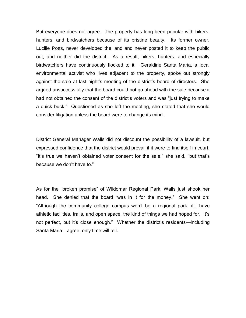But everyone does not agree. The property has long been popular with hikers, hunters, and birdwatchers because of its pristine beauty. Its former owner, Lucille Potts, never developed the land and never posted it to keep the public out, and neither did the district. As a result, hikers, hunters, and especially birdwatchers have continuously flocked to it. Geraldine Santa Maria, a local environmental activist who lives adjacent to the property, spoke out strongly against the sale at last night's meeting of the district's board of directors. She argued unsuccessfully that the board could not go ahead with the sale because it had not obtained the consent of the district's voters and was "just trying to make a quick buck." Questioned as she left the meeting, she stated that she would consider litigation unless the board were to change its mind.

District General Manager Walls did not discount the possibility of a lawsuit, but expressed confidence that the district would prevail if it were to find itself in court. "It's true we haven't obtained voter consent for the sale," she said, "but that's because we don't have to."

As for the "broken promise" of Wildomar Regional Park, Walls just shook her head. She denied that the board "was in it for the money." She went on: "Although the community college campus won't be a regional park, it'll have athletic facilities, trails, and open space, the kind of things we had hoped for. It's not perfect, but it's close enough." Whether the district's residents—including Santa Maria—agree, only time will tell.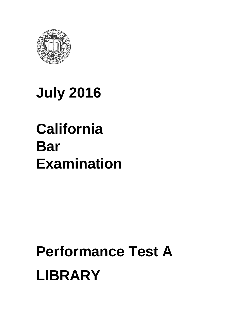

# **July 2016**

# **California Bar Examination**

# **Performance Test A LIBRARY**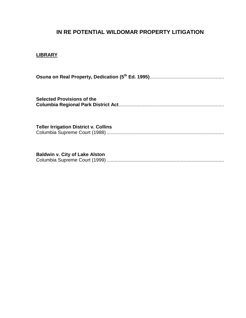## **IN RE POTENTIAL WILDOMAR PROPERTY LITIGATION**

### **LIBRARY**

**Osuna on Real Property, Dedication (5th Ed. 1995)**.......................................................

**Selected Provisions of the Columbia Regional Park District Act**..............................................................................

**Teller Irrigation District v. Collins** Columbia Supreme Court (1988) .......................................................................................

**Baldwin v. City of Lake Alston** Columbia Supreme Court (1999) .......................................................................................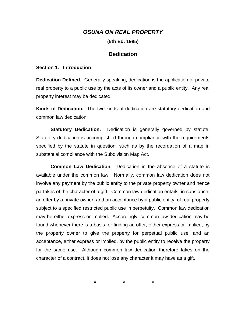### *OSUNA ON REAL PROPERTY*

**(5th Ed. 1995)** 

### **Dedication**

#### **Section 1. Introduction**

**Dedication Defined.** Generally speaking, dedication is the application of private real property to a public use by the acts of its owner and a public entity. Any real property interest may be dedicated.

**Kinds of Dedication.** The two kinds of dedication are statutory dedication and common law dedication.

**Statutory Dedication.** Dedication is generally governed by statute. Statutory dedication is accomplished through compliance with the requirements specified by the statute in question, such as by the recordation of a map in substantial compliance with the Subdivision Map Act.

**Common Law Dedication.** Dedication in the absence of a statute is available under the common law. Normally, common law dedication does not involve any payment by the public entity to the private property owner and hence partakes of the character of a gift. Common law dedication entails, in substance, an offer by a private owner, and an acceptance by a public entity, of real property subject to a specified restricted public use in perpetuity. Common law dedication may be either express or implied. Accordingly, common law dedication may be found whenever there is a basis for finding an offer, either express or implied, by the property owner to give the property for perpetual public use, and an acceptance, either express or implied, by the public entity to receive the property for the same use. Although common law dedication therefore takes on the character of a contract, it does not lose any character it may have as a gift.

 **\* \* \***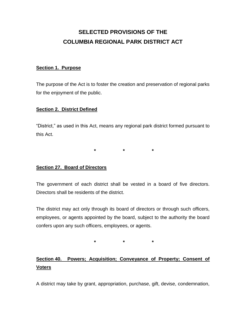# **SELECTED PROVISIONS OF THE COLUMBIA REGIONAL PARK DISTRICT ACT**

### **Section 1. Purpose**

The purpose of the Act is to foster the creation and preservation of regional parks for the enjoyment of the public.

### **Section 2. District Defined**

"District," as used in this Act, means any regional park district formed pursuant to this Act.

 **\* \* \*** 

### **Section 27. Board of Directors**

The government of each district shall be vested in a board of five directors. Directors shall be residents of the district.

The district may act only through its board of directors or through such officers, employees, or agents appointed by the board, subject to the authority the board confers upon any such officers, employees, or agents.

 **\* \* \*** 

# **Section 40. Powers; Acquisition; Conveyance of Property; Consent of Voters**

A district may take by grant, appropriation, purchase, gift, devise, condemnation,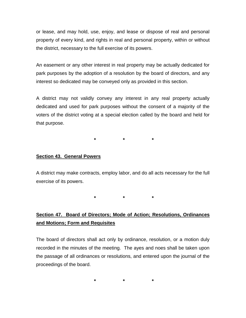or lease, and may hold, use, enjoy, and lease or dispose of real and personal property of every kind, and rights in real and personal property, within or without the district, necessary to the full exercise of its powers.

An easement or any other interest in real property may be actually dedicated for park purposes by the adoption of a resolution by the board of directors, and any interest so dedicated may be conveyed only as provided in this section.

A district may not validly convey any interest in any real property actually dedicated and used for park purposes without the consent of a majority of the voters of the district voting at a special election called by the board and held for that purpose.

**\* \* \*** 

### **Section 43. General Powers**

A district may make contracts, employ labor, and do all acts necessary for the full exercise of its powers.

**\* \* \*** 

# **Section 47. Board of Directors; Mode of Action; Resolutions, Ordinances and Motions; Form and Requisites**

The board of directors shall act only by ordinance, resolution, or a motion duly recorded in the minutes of the meeting. The ayes and noes shall be taken upon the passage of all ordinances or resolutions, and entered upon the journal of the proceedings of the board.

**\* \* \***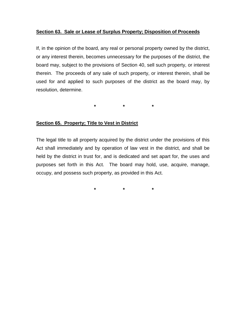### **Section 63. Sale or Lease of Surplus Property; Disposition of Proceeds**

If, in the opinion of the board, any real or personal property owned by the district, or any interest therein, becomes unnecessary for the purposes of the district, the board may, subject to the provisions of Section 40, sell such property, or interest therein. The proceeds of any sale of such property, or interest therein, shall be used for and applied to such purposes of the district as the board may, by resolution, determine.

**\* \* \*** 

### **Section 65. Property; Title to Vest in District**

The legal title to all property acquired by the district under the provisions of this Act shall immediately and by operation of law vest in the district, and shall be held by the district in trust for, and is dedicated and set apart for, the uses and purposes set forth in this Act. The board may hold, use, acquire, manage, occupy, and possess such property, as provided in this Act.

**\* \* \***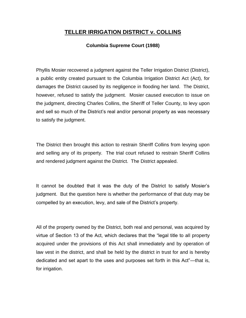## **TELLER IRRIGATION DISTRICT v. COLLINS**

### **Columbia Supreme Court (1988)**

Phyllis Mosier recovered a judgment against the Teller Irrigation District (District), a public entity created pursuant to the Columbia Irrigation District Act (Act), for damages the District caused by its negligence in flooding her land. The District, however, refused to satisfy the judgment. Mosier caused execution to issue on the judgment, directing Charles Collins, the Sheriff of Teller County, to levy upon and sell so much of the District's real and/or personal property as was necessary to satisfy the judgment.

The District then brought this action to restrain Sheriff Collins from levying upon and selling any of its property. The trial court refused to restrain Sheriff Collins and rendered judgment against the District. The District appealed.

It cannot be doubted that it was the duty of the District to satisfy Mosier's judgment. But the question here is whether the performance of that duty may be compelled by an execution, levy, and sale of the District's property.

All of the property owned by the District, both real and personal, was acquired by virtue of Section 13 of the Act, which declares that the "legal title to all property acquired under the provisions of this Act shall immediately and by operation of law vest in the district, and shall be held by the district in trust for and is hereby dedicated and set apart to the uses and purposes set forth in this Act"—that is, for irrigation.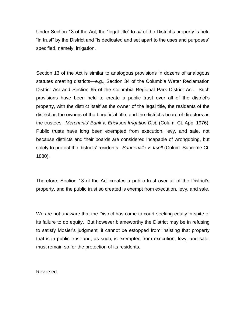Under Section 13 of the Act, the "legal title" to *all* of the District's property is held "in trust" by the District and "is dedicated and set apart to the uses and purposes" specified, namely, irrigation.

Section 13 of the Act is similar to analogous provisions in dozens of analogous statutes creating districts—e.g., Section 34 of the Columbia Water Reclamation District Act and Section 65 of the Columbia Regional Park District Act. Such provisions have been held to create a public trust over all of the district's property, with the district itself as the owner of the legal title, the residents of the district as the owners of the beneficial title, and the district's board of directors as the trustees. *Merchants' Bank v. Erickson Irrigation Dist.* (Colum. Ct. App. 1976). Public trusts have long been exempted from execution, levy, and sale, not because districts and their boards are considered incapable of wrongdoing, but solely to protect the districts' residents. *Sannerville v. Itsell* (Colum. Supreme Ct. 1880).

Therefore, Section 13 of the Act creates a public trust over all of the District's property, and the public trust so created is exempt from execution, levy, and sale.

We are not unaware that the District has come to court seeking equity in spite of its failure to do equity. But however blameworthy the District may be in refusing to satisfy Mosier's judgment, it cannot be estopped from insisting that property that is in public trust and, as such, is exempted from execution, levy, and sale, must remain so for the protection of its residents.

Reversed.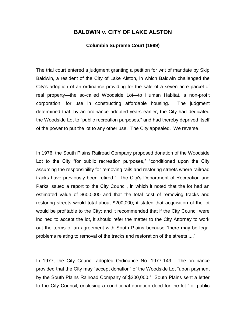### **BALDWIN v. CITY OF LAKE ALSTON**

### **Columbia Supreme Court (1999)**

The trial court entered a judgment granting a petition for writ of mandate by Skip Baldwin, a resident of the City of Lake Alston, in which Baldwin challenged the City's adoption of an ordinance providing for the sale of a seven-acre parcel of real property—the so-called Woodside Lot—to Human Habitat, a non-profit corporation, for use in constructing affordable housing. The judgment determined that, by an ordinance adopted years earlier, the City had dedicated the Woodside Lot to "public recreation purposes," and had thereby deprived itself of the power to put the lot to any other use. The City appealed. We reverse.

In 1976, the South Plains Railroad Company proposed donation of the Woodside Lot to the City "for public recreation purposes," "conditioned upon the City assuming the responsibility for removing rails and restoring streets where railroad tracks have previously been retired." The City's Department of Recreation and Parks issued a report to the City Council, in which it noted that the lot had an estimated value of \$600,000 and that the total cost of removing tracks and restoring streets would total about \$200,000; it stated that acquisition of the lot would be profitable to the City; and it recommended that if the City Council were inclined to accept the lot, it should refer the matter to the City Attorney to work out the terms of an agreement with South Plains because "there may be legal problems relating to removal of the tracks and restoration of the streets ...."

In 1977, the City Council adopted Ordinance No. 1977-149. The ordinance provided that the City may "accept donation" of the Woodside Lot "upon payment by the South Plains Railroad Company of \$200,000." South Plains sent a letter to the City Council, enclosing a conditional donation deed for the lot "for public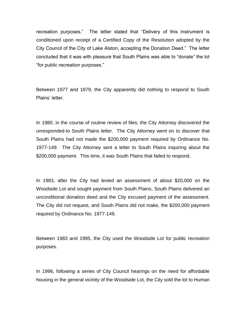recreation purposes." The letter stated that "Delivery of this instrument is conditioned upon receipt of a Certified Copy of the Resolution adopted by the City Council of the City of Lake Alston, accepting the Donation Deed." The letter concluded that it was with pleasure that South Plains was able to "donate" the lot "for public recreation purposes."

Between 1977 and 1979, the City apparently did nothing to respond to South Plains' letter.

In 1980, in the course of routine review of files, the City Attorney discovered the unresponded-to South Plains letter. The City Attorney went on to discover that South Plains had not made the \$200,000 payment required by Ordinance No. 1977-149. The City Attorney sent a letter to South Plains inquiring about the \$200,000 payment. This time, it was South Plains that failed to respond.

In 1983, after the City had levied an assessment of about \$20,000 on the Woodside Lot and sought payment from South Plains, South Plains delivered an unconditional donation deed and the City excused payment of the assessment. The City did not request, and South Plains did not make, the \$200,000 payment required by Ordinance No. 1977-149.

Between 1983 and 1995, the City used the Woodside Lot for public recreation purposes.

In 1996, following a series of City Council hearings on the need for affordable housing in the general vicinity of the Woodside Lot, the City sold the lot to Human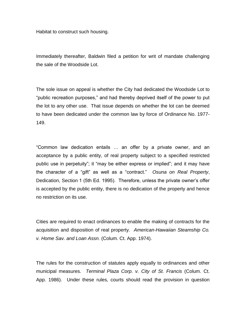Habitat to construct such housing.

Immediately thereafter, Baldwin filed a petition for writ of mandate challenging the sale of the Woodside Lot.

The sole issue on appeal is whether the City had dedicated the Woodside Lot to "public recreation purposes," and had thereby deprived itself of the power to put the lot to any other use. That issue depends on whether the lot can be deemed to have been dedicated under the common law by force of Ordinance No. 1977- 149.

"Common law dedication entails … an offer by a private owner, and an acceptance by a public entity, of real property subject to a specified restricted public use in perpetuity"; it "may be either express or implied"; and it may have the character of a "gift" as well as a "contract." *Osuna on Real Property*, Dedication, Section 1 (5th Ed. 1995). Therefore, unless the private owner's offer is accepted by the public entity, there is no dedication of the property and hence no restriction on its use.

Cities are required to enact ordinances to enable the making of contracts for the acquisition and disposition of real property. *American-Hawaiian Steamship Co. v. Home Sav. and Loan Assn.* (Colum. Ct. App. 1974).

The rules for the construction of statutes apply equally to ordinances and other municipal measures. *Terminal Plaza Corp. v. City of St. Francis* (Colum. Ct. App. 1986). Under these rules, courts should read the provision in question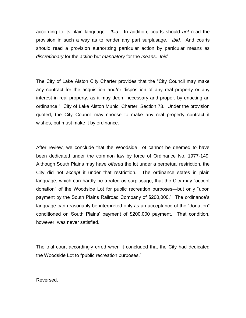according to its plain language. *Ibid.* In addition, courts should *not* read the provision in such a way as to render any part surplusage. *Ibid.* And courts should read a provision authorizing particular action by particular means as *discretionary* for the *action* but *mandatory* for the *means*. *Ibid.* 

The City of Lake Alston City Charter provides that the "City Council may make any contract for the acquisition and/or disposition of any real property or any interest in real property, as it may deem necessary and proper, by enacting an ordinance." City of Lake Alston Munic. Charter, Section 73. Under the provision quoted, the City Council may choose to make any real property contract it wishes, but must make it by ordinance.

After review, we conclude that the Woodside Lot cannot be deemed to have been dedicated under the common law by force of Ordinance No. 1977-149. Although South Plains may have *offered* the lot under a perpetual restriction, the City did not *accept* it under that restriction. The ordinance states in plain language, which can hardly be treated as surplusage, that the City may "accept donation" of the Woodside Lot for public recreation purposes—but only "upon payment by the South Plains Railroad Company of \$200,000." The ordinance's language can reasonably be interpreted only as an acceptance of the "donation" conditioned on South Plains' payment of \$200,000 payment. That condition, however, was never satisfied.

The trial court accordingly erred when it concluded that the City had dedicated the Woodside Lot to "public recreation purposes."

Reversed.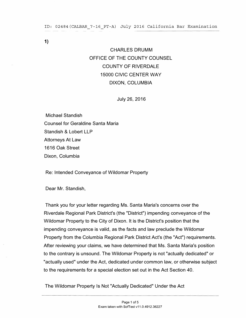#### ID: 02484(CALBAR\_7-16\_PT-A) July 2016 California Bar Examination

1)

# CHARLES DRUMM OFFICE OF THE COUNTY COUNSEL COUNTY OF RIVERDALE 15000 CIVIC CENTER WAY DIXON, COLUMBIA

July 26, 2016

Michael Standish Counsel for Geraldine Santa Maria Standish & Lobert LLP Attorneys At Law 1616 Oak Street Dixon, Columbia

Re: Intended Conveyance of Wildomar Property

Dear Mr. Standish,

Thank you for your letter regarding Ms. Santa Maria's concerns over the Riverdale Regional Park District's (the "District") impending conveyance of the Wildomar Property to the City of Dixon. It is the District's position that the impending conveyance is valid, as the facts and law preclude the Wildomar Property from the Columbia Regional Park District Act's (the "Act") requirements. After reviewing your claims, we have determined that Ms. Santa Maria's position to the contrary is unsound. The Wildomar Property is not "actually dedicated" or "actually used" under the Act, dedicated under common law, or otherwise subject to the requirements for a special election set out in the Act Section 40.

The Wildomar Property Is Not "Actually Dedicated" Under the Act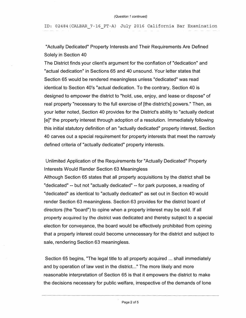ID: 02484(CALBAR 7-16\_PT-A) July 2016 California Bar Examination

"Actually Dedicated" Property Interests and Their Requirements Are Defined Solely in Section 40

The District finds your client's argument for the conflation of "dedication" and "actual dedication" in Sections 65 and 40 unsound. Your letter states that Section 65 would be rendered meaningless unless "dedicated" was read identical to Section 40's "actual dedication. To the contrary, Section 40 is designed to empower the district to "hold, use, enjoy, and lease or dispose" of real property "necessary to the full exercise of [the district's] powers." Then, as your letter noted, Section 40 provides for the District's ability to "actually dedicat [e]" the property interest through adoption of a resolution. Immediately following this initial statutory definition of an "actually dedicated" property interest, Section 40 carves out a special requirement for property interests that meet the narrowly defined criteria of "actually dedicated" property interests.

Unlimited Application of the Requirements for "Actually Dedicated" Property Interests Would Render Section 63 Meaningless

Although Section 65 states that all property acquisitions by the district shall be "dedicated" -- but not "actually dedicated" -- for park purposes, a reading of "dedicated" as identical to "actually dedicated" as set out in Section 40 would render Section 63 meaningless. Section 63 provides for the district board of directors (the "board") to opine when a property interest may be sold. If all property acquired by the district was dedicated and thereby subject to a special election for conveyance, the board would be effectively prohibited from opining that a property interest could become unnecessary for the district and subject to sale, rendering Section 63 meaningless.

Section 65 begins, "The legal title to all property acquired ... shall immediately and by operation of law vest in the district..." The more likely and more reasonable interpretation of Section 65 is that it empowers the district to make the decisions necessary for public welfare, irrespective of the demands of lone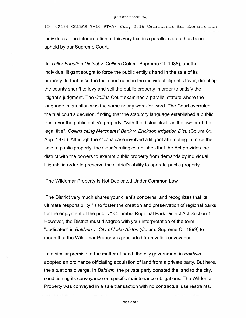ID: 02484(CALBAR\_7-16\_PT-A) July 2016 California Bar Examination

individuals. The interpretation of this very text in a parallel statute has been upheld by our Supreme Court.

In *Teller Irrigation District v. Collins* (Colum. Supreme Ct. 1988), another individual litigant sought to force the public entity's hand in the sale of its property. In that case the trial court ruled in the individual litigant's favor, directing the county sheriff to levy and sell the public property in order to satisfy the litigant's judgment. The *Collins* Court examined a parallel statute where the language in question was the same nearly word-for-word. The Court overruled the trial court's decision, finding that the statutory language established a public trust over the public entity's property, "with the district itself as the owner of the legal title". *Collins citing Merchants' Bank v. Erickson Irrigation Dist.* (Colum Ct. App. 1976). Although the *Collins* case involved a litigant attempting to force the sale of public property, the Court's ruling establishes that the Act provides the district with the powers to exempt public property from demands by individual litigants in order to preserve the district's ability to operate public property.

### The Wildomar Property Is Not Dedicated Under Common Law

The District very much shares your client's concerns, and recognizes that its ultimate responsibility "is to foster the creation and preservation of regional parks for the enjoyment of the public." Columbia Regional Park District Act Section 1. However, the District must disagree with your interpretation of the term "dedicated" in *Baldwin v. City of Lake Alston* (Colum. Supreme Ct. 1999) to mean that the Wildomar Property is precluded from valid conveyance.

In a similar premise to the matter at hand, the city government in *Baldwin*  adopted an ordinance officiating acquistion of land from a private party. But here, the situations diverge. In *Baldwin,* the private party donated the land to the city, conditioning its conveyance on specific maintenance obligations. The Wildomar Property was conveyed in a sale transaction with no contractual use restraints.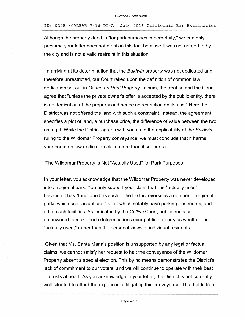ID: 02484(CALBAR\_7-16 PT-A) July 2016 California Bar Examination

Although the property deed is "for park purposes in perpetuity," we can only presume your letter does not mention this fact because it was not agreed to by the city and is not a valid restraint in this situation.

In arriving at its determination that the *Baldwin* property was not dedicated and therefore unrestricted, our Court relied upon the definition of common law dedication set out in *Osuna on Real Property.* In sum, the treatise and the Court agree that "unless the private owner's offer is accepted by the public entity, there is no dedication of the property and hence no restriction on its use." Here the District was not offered the land with such a constraint. Instead, the agreement specifies a plot of land, a purchase price, the difference of value between the two as a gift. While the District agrees with you as to the applicability of the *Baldwin*  ruling to the Wildomar Property conveyance, we must conclude that it harms your common law dedication claim more than it supports it.

The Wildomar Property Is Not "Actually Used" for Park Purposes

In your letter, you acknowledge that the Wildomar Property was never developed into a regional park. You only support your claim that it is "actually used" because it has "functioned as such." The District oversees a number of regional parks which see "actual use," all of which notably have parking, restrooms, and other such facilities. As indicated by the *Collins* Court, public trusts are empowered to make such determinations over public property as whether it is "actually used," rather than the personal views of individual residents.

Given that Ms. Santa Maria's position is unsupported by any legal or factual claims, we cannot satisfy her request to halt the conveyance of the Wildomar Property absent a special election. This by no means demonstrates the District's lack of commitment to our voters, and we will continue to operate with their best interests at heart. As you acknowledge in your letter, the District is not currently well-situated to afford the expenses of litigating this conveyance. That holds true